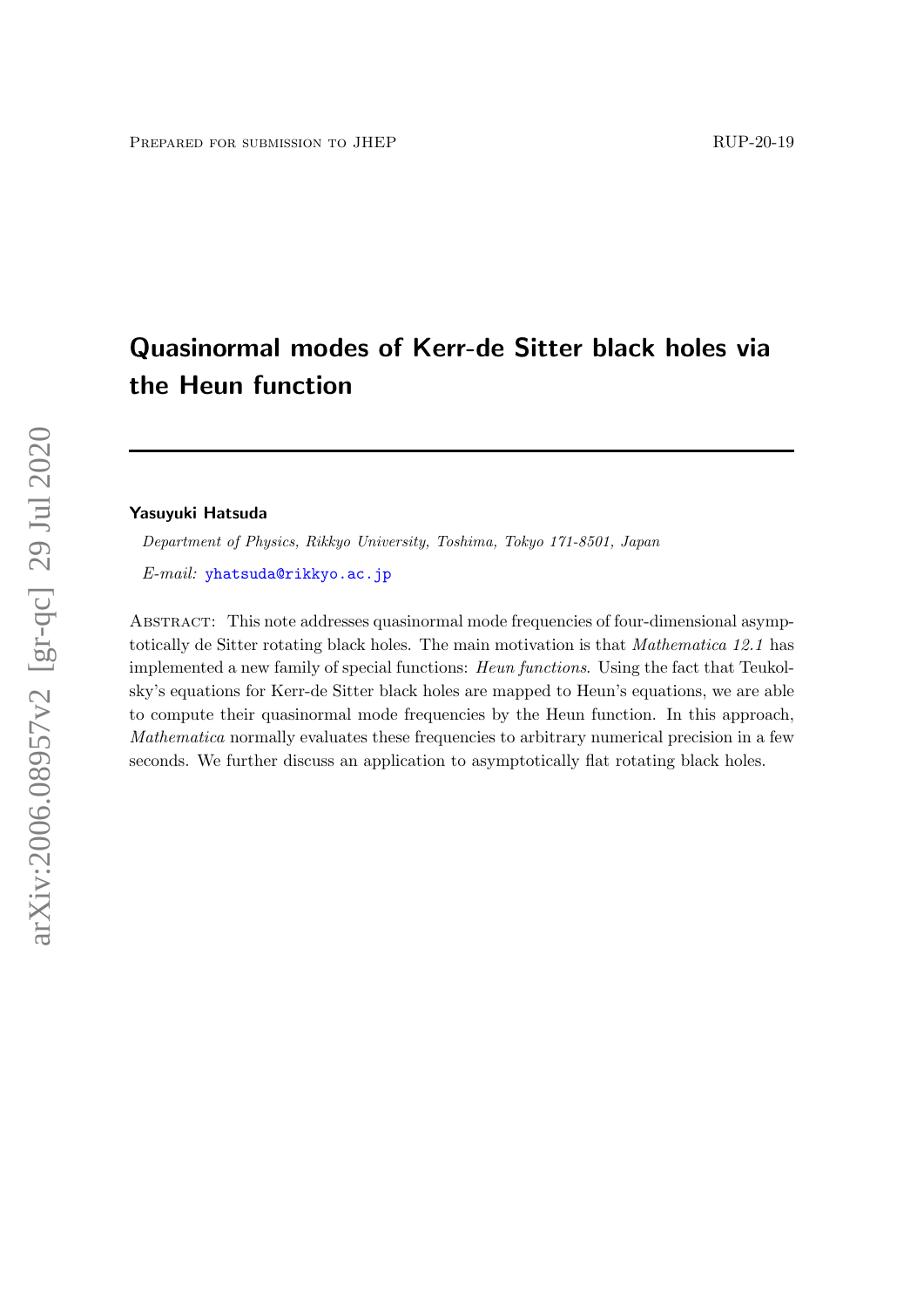# Quasinormal modes of Kerr-de Sitter black holes via the Heun function

#### Yasuyuki Hatsuda

Department of Physics, Rikkyo University, Toshima, Tokyo 171-8501, Japan

E-mail: [yhatsuda@rikkyo.ac.jp](mailto:yhatsuda@rikkyo.ac.jp)

Abstract: This note addresses quasinormal mode frequencies of four-dimensional asymptotically de Sitter rotating black holes. The main motivation is that Mathematica 12.1 has implemented a new family of special functions: Heun functions. Using the fact that Teukolsky's equations for Kerr-de Sitter black holes are mapped to Heun's equations, we are able to compute their quasinormal mode frequencies by the Heun function. In this approach, Mathematica normally evaluates these frequencies to arbitrary numerical precision in a few seconds. We further discuss an application to asymptotically flat rotating black holes.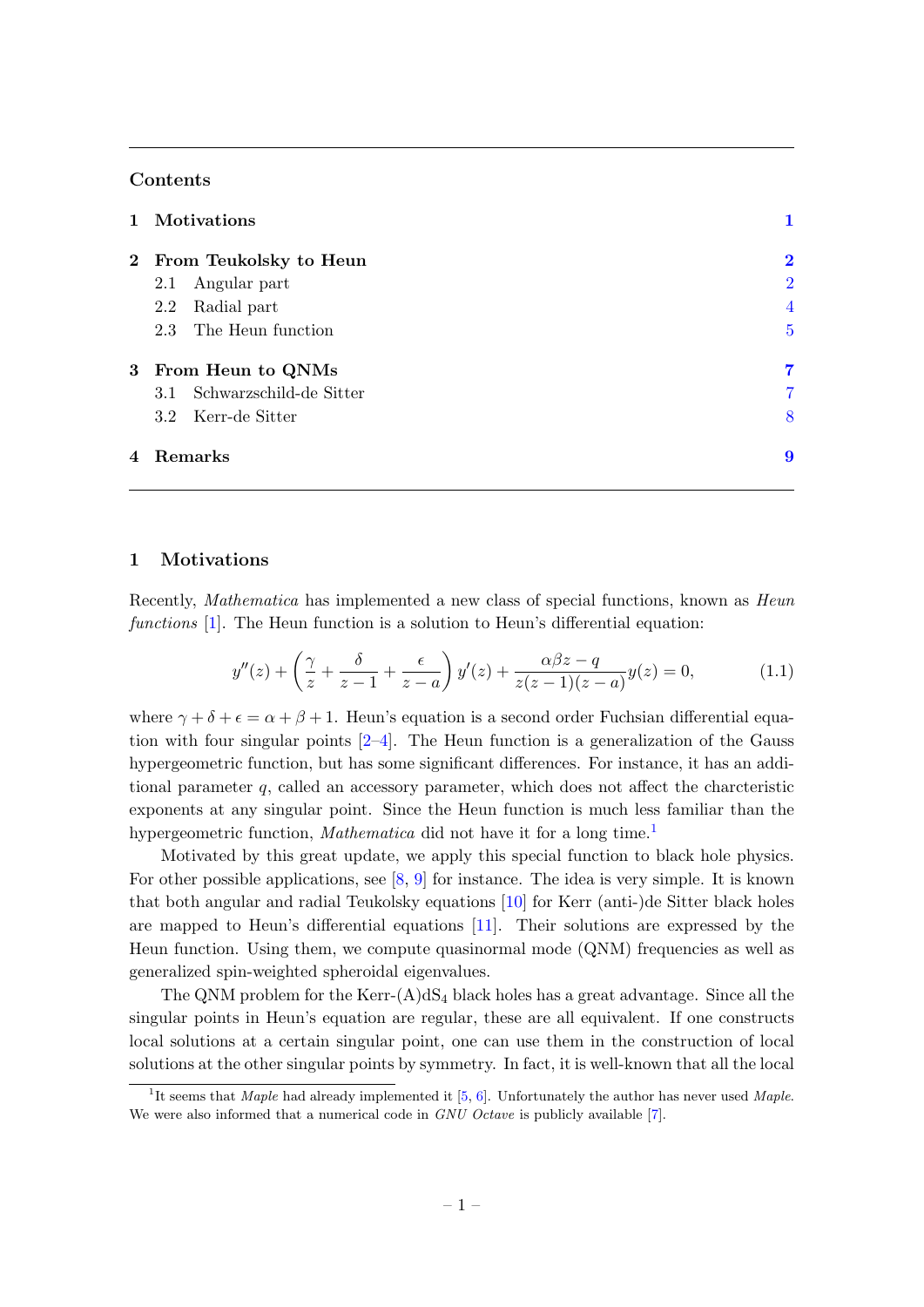# Contents

|           | 1 Motivations               |                |
|-----------|-----------------------------|----------------|
|           | 2 From Teukolsky to Heun    | $\bf{2}$       |
|           | Angular part<br>2.1         | $\overline{2}$ |
|           | Radial part<br>2.2          | $\overline{4}$ |
|           | 2.3 The Heun function       | $\overline{5}$ |
|           | 3 From Heun to QNMs         | 7              |
|           | 3.1 Schwarzschild-de Sitter | 7              |
|           | 3.2 Kerr-de Sitter          | 8              |
| 4 Remarks |                             | 9              |

## <span id="page-1-0"></span>1 Motivations

Recently, *Mathematica* has implemented a new class of special functions, known as *Heun* functions [\[1\]](#page-11-0). The Heun function is a solution to Heun's differential equation:

<span id="page-1-2"></span>
$$
y''(z) + \left(\frac{\gamma}{z} + \frac{\delta}{z-1} + \frac{\epsilon}{z-a}\right)y'(z) + \frac{\alpha\beta z - q}{z(z-1)(z-a)}y(z) = 0,\tag{1.1}
$$

where  $\gamma + \delta + \epsilon = \alpha + \beta + 1$ . Heun's equation is a second order Fuchsian differential equation with four singular points  $[2-4]$  $[2-4]$ . The Heun function is a generalization of the Gauss hypergeometric function, but has some significant differences. For instance, it has an additional parameter  $q$ , called an accessory parameter, which does not affect the charcteristic exponents at any singular point. Since the Heun function is much less familiar than the hypergeometric function, *Mathematica* did not have it for a long time.<sup>[1](#page-1-1)</sup>

Motivated by this great update, we apply this special function to black hole physics. For other possible applications, see [\[8,](#page-11-3) [9\]](#page-11-4) for instance. The idea is very simple. It is known that both angular and radial Teukolsky equations [\[10\]](#page-11-5) for Kerr (anti-)de Sitter black holes are mapped to Heun's differential equations [\[11\]](#page-11-6). Their solutions are expressed by the Heun function. Using them, we compute quasinormal mode (QNM) frequencies as well as generalized spin-weighted spheroidal eigenvalues.

The QNM problem for the Kerr- $(A)dS<sub>4</sub>$  black holes has a great advantage. Since all the singular points in Heun's equation are regular, these are all equivalent. If one constructs local solutions at a certain singular point, one can use them in the construction of local solutions at the other singular points by symmetry. In fact, it is well-known that all the local

<span id="page-1-1"></span><sup>&</sup>lt;sup>1</sup>It seems that *Maple* had already implemented it [\[5,](#page-11-7) [6\]](#page-11-8). Unfortunately the author has never used *Maple*. We were also informed that a numerical code in GNU Octave is publicly available [\[7\]](#page-11-9).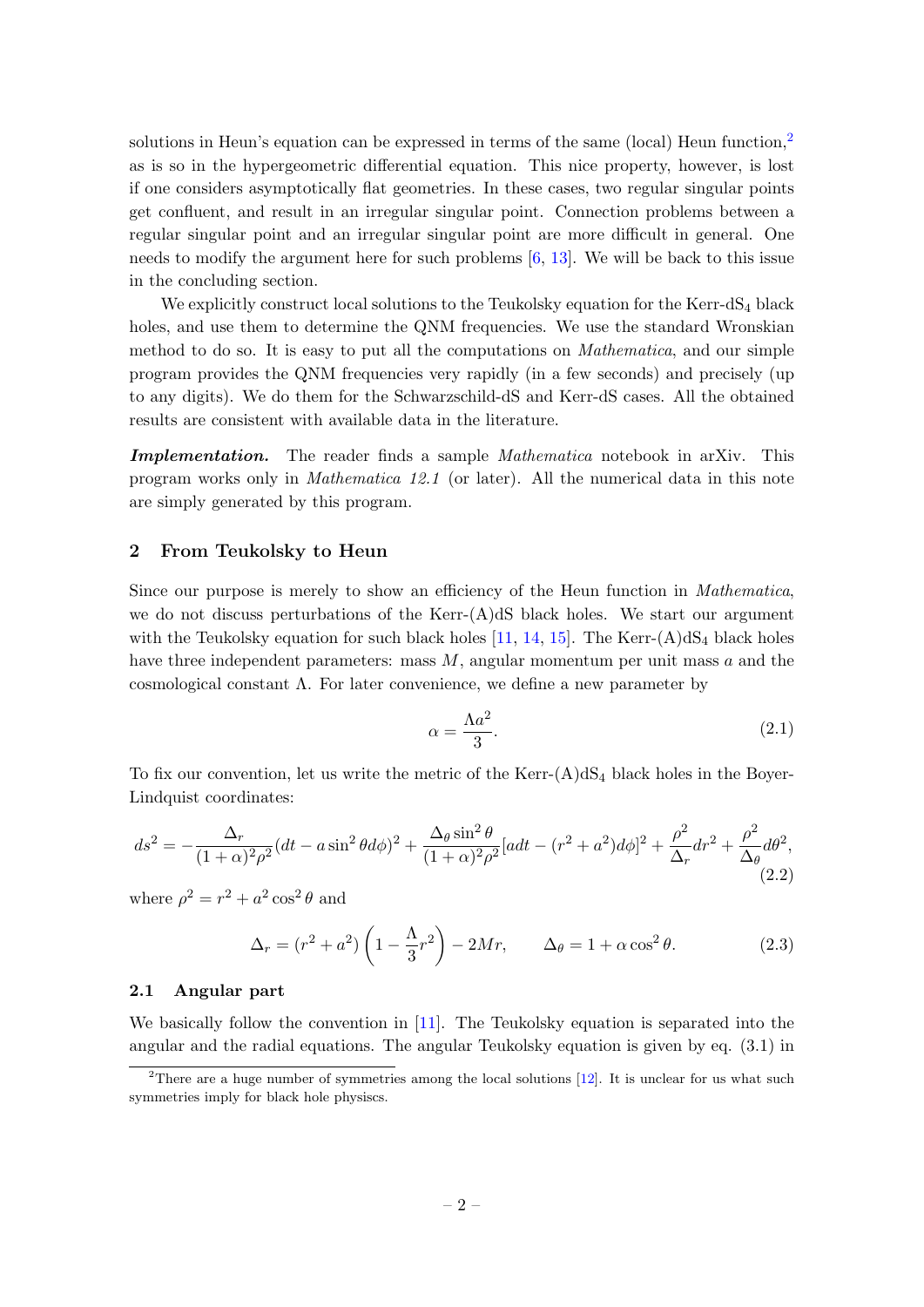solutions in Heun's equation can be expressed in terms of the same (local) Heun function,<sup>[2](#page-2-2)</sup> as is so in the hypergeometric differential equation. This nice property, however, is lost if one considers asymptotically flat geometries. In these cases, two regular singular points get confluent, and result in an irregular singular point. Connection problems between a regular singular point and an irregular singular point are more difficult in general. One needs to modify the argument here for such problems  $[6, 13]$  $[6, 13]$  $[6, 13]$ . We will be back to this issue in the concluding section.

We explicitly construct local solutions to the Teukolsky equation for the Kerr-dS<sub>4</sub> black holes, and use them to determine the QNM frequencies. We use the standard Wronskian method to do so. It is easy to put all the computations on Mathematica, and our simple program provides the QNM frequencies very rapidly (in a few seconds) and precisely (up to any digits). We do them for the Schwarzschild-dS and Kerr-dS cases. All the obtained results are consistent with available data in the literature.

Implementation. The reader finds a sample *Mathematica* notebook in arXiv. This program works only in Mathematica 12.1 (or later). All the numerical data in this note are simply generated by this program.

### <span id="page-2-0"></span>2 From Teukolsky to Heun

Since our purpose is merely to show an efficiency of the Heun function in Mathematica, we do not discuss perturbations of the Kerr- $(A)dS$  black holes. We start our argument with the Teukolsky equation for such black holes [\[11,](#page-11-6) [14,](#page-12-0) [15\]](#page-12-1). The Kerr- $(A)dS_4$  black holes have three independent parameters: mass  $M$ , angular momentum per unit mass  $a$  and the cosmological constant Λ. For later convenience, we define a new parameter by

$$
\alpha = \frac{\Lambda a^2}{3}.\tag{2.1}
$$

To fix our convention, let us write the metric of the Kerr- $(A)dS<sub>4</sub>$  black holes in the Boyer-Lindquist coordinates:

$$
ds^{2} = -\frac{\Delta_{r}}{(1+\alpha)^{2}\rho^{2}}(dt - a\sin^{2}\theta d\phi)^{2} + \frac{\Delta_{\theta}\sin^{2}\theta}{(1+\alpha)^{2}\rho^{2}}[adt - (r^{2} + a^{2})d\phi]^{2} + \frac{\rho^{2}}{\Delta_{r}}dr^{2} + \frac{\rho^{2}}{\Delta_{\theta}}d\theta^{2},
$$
\n(2.2)

where  $\rho^2 = r^2 + a^2 \cos^2 \theta$  and

$$
\Delta_r = (r^2 + a^2) \left( 1 - \frac{\Lambda}{3} r^2 \right) - 2Mr, \qquad \Delta_\theta = 1 + \alpha \cos^2 \theta. \tag{2.3}
$$

# <span id="page-2-1"></span>2.1 Angular part

We basically follow the convention in [\[11\]](#page-11-6). The Teukolsky equation is separated into the angular and the radial equations. The angular Teukolsky equation is given by eq. (3.1) in

<span id="page-2-2"></span><sup>&</sup>lt;sup>2</sup>There are a huge number of symmetries among the local solutions [\[12\]](#page-11-11). It is unclear for us what such symmetries imply for black hole physiscs.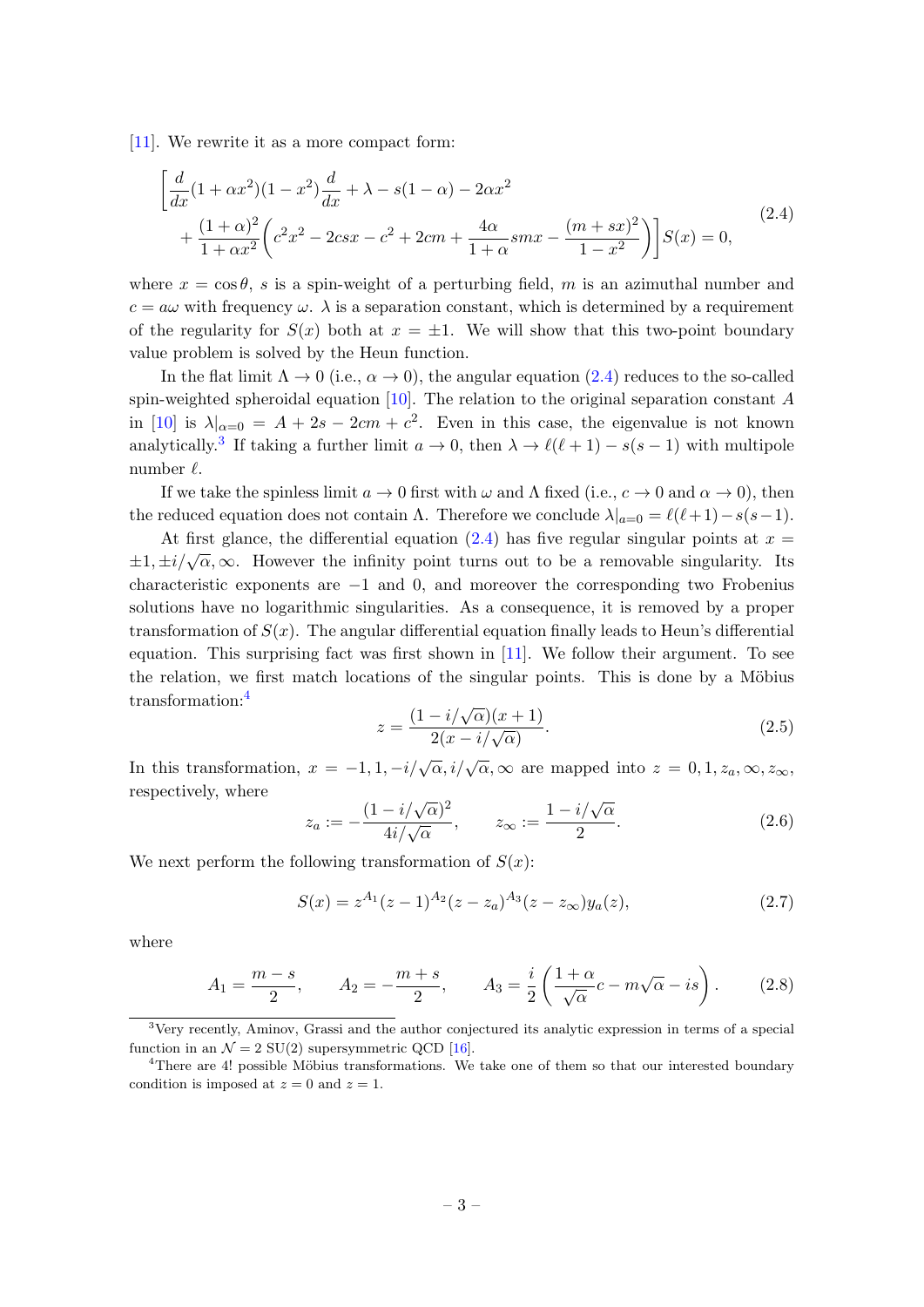[\[11\]](#page-11-6). We rewrite it as a more compact form:

<span id="page-3-0"></span>
$$
\left[\frac{d}{dx}(1+\alpha x^2)(1-x^2)\frac{d}{dx} + \lambda - s(1-\alpha) - 2\alpha x^2 + \frac{(1+\alpha)^2}{1+\alpha x^2}\left(c^2x^2 - 2csx - c^2 + 2cm + \frac{4\alpha}{1+\alpha}smx - \frac{(m+sx)^2}{1-x^2}\right)\right]S(x) = 0,
$$
\n(2.4)

where  $x = \cos \theta$ , s is a spin-weight of a perturbing field, m is an azimuthal number and  $c = a\omega$  with frequency  $\omega$ .  $\lambda$  is a separation constant, which is determined by a requirement of the regularity for  $S(x)$  both at  $x = \pm 1$ . We will show that this two-point boundary value problem is solved by the Heun function.

In the flat limit  $\Lambda \to 0$  (i.e.,  $\alpha \to 0$ ), the angular equation [\(2.4\)](#page-3-0) reduces to the so-called spin-weighted spheroidal equation  $[10]$ . The relation to the original separation constant A in [\[10\]](#page-11-5) is  $\lambda|_{\alpha=0} = A + 2s - 2cm + c^2$ . Even in this case, the eigenvalue is not known analytically.<sup>[3](#page-3-1)</sup> If taking a further limit  $a \to 0$ , then  $\lambda \to \ell(\ell + 1) - s(s - 1)$  with multipole number  $\ell$ .

If we take the spinless limit  $a \to 0$  first with  $\omega$  and  $\Lambda$  fixed (i.e.,  $c \to 0$  and  $\alpha \to 0$ ), then the reduced equation does not contain Λ. Therefore we conclude  $\lambda|_{a=0} = \ell(\ell+1)-s(s-1)$ .

At first glance, the differential equation [\(2.4\)](#page-3-0) has five regular singular points at  $x =$  $\pm 1, \pm i/\sqrt{\alpha}, \infty$ . However the infinity point turns out to be a removable singularity. Its characteristic exponents are −1 and 0, and moreover the corresponding two Frobenius solutions have no logarithmic singularities. As a consequence, it is removed by a proper transformation of  $S(x)$ . The angular differential equation finally leads to Heun's differential equation. This surprising fact was first shown in [\[11\]](#page-11-6). We follow their argument. To see the relation, we first match locations of the singular points. This is done by a Möbius transformation:[4](#page-3-2)

$$
z = \frac{(1 - i/\sqrt{\alpha})(x+1)}{2(x - i/\sqrt{\alpha})}.
$$
\n(2.5)

In this transformation,  $x = -1, 1, -i/\sqrt{\alpha}, i/\sqrt{\alpha}, \infty$  are mapped into  $z = 0, 1, z_a, \infty, z_\infty$ , respectively, where

$$
z_a := -\frac{(1 - i/\sqrt{\alpha})^2}{4i/\sqrt{\alpha}}, \qquad z_\infty := \frac{1 - i/\sqrt{\alpha}}{2}.
$$
 (2.6)

We next perform the following transformation of  $S(x)$ :

$$
S(x) = z^{A_1}(z-1)^{A_2}(z-z_a)^{A_3}(z-z_\infty)y_a(z), \qquad (2.7)
$$

where

$$
A_1 = \frac{m-s}{2}, \qquad A_2 = -\frac{m+s}{2}, \qquad A_3 = \frac{i}{2} \left( \frac{1+\alpha}{\sqrt{\alpha}} c - m\sqrt{\alpha} - is \right). \tag{2.8}
$$

<span id="page-3-1"></span><sup>&</sup>lt;sup>3</sup>Very recently, Aminov, Grassi and the author conjectured its analytic expression in terms of a special function in an  $\mathcal{N} = 2$  SU(2) supersymmetric QCD [\[16\]](#page-12-2).

<span id="page-3-2"></span> $4$ There are  $4!$  possible Möbius transformations. We take one of them so that our interested boundary condition is imposed at  $z = 0$  and  $z = 1$ .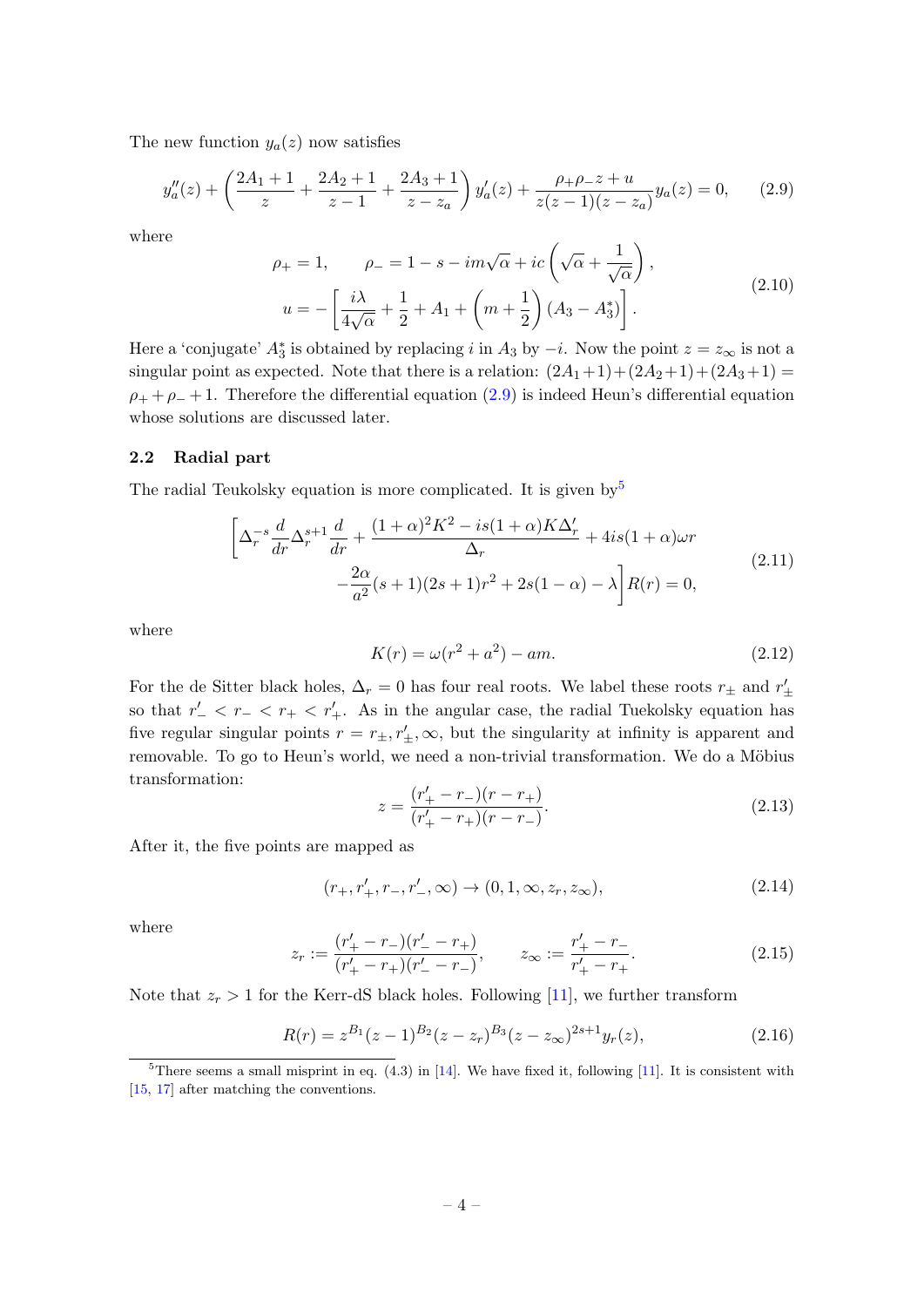The new function  $y_a(z)$  now satisfies

<span id="page-4-1"></span>
$$
y''_a(z) + \left(\frac{2A_1 + 1}{z} + \frac{2A_2 + 1}{z - 1} + \frac{2A_3 + 1}{z - z_a}\right)y'_a(z) + \frac{\rho_+ \rho_- z + u}{z(z - 1)(z - z_a)}y_a(z) = 0,\tag{2.9}
$$

where

$$
\rho_{+} = 1, \qquad \rho_{-} = 1 - s - im\sqrt{\alpha} + ic\left(\sqrt{\alpha} + \frac{1}{\sqrt{\alpha}}\right),
$$

$$
u = -\left[\frac{i\lambda}{4\sqrt{\alpha}} + \frac{1}{2} + A_1 + \left(m + \frac{1}{2}\right)(A_3 - A_3^*)\right].
$$
(2.10)

Here a 'conjugate'  $A_3^*$  is obtained by replacing i in  $A_3$  by  $-i$ . Now the point  $z = z_{\infty}$  is not a singular point as expected. Note that there is a relation:  $(2A_1+1)+(2A_2+1)+(2A_3+1)$  =  $\rho_+ + \rho_- + 1$ . Therefore the differential equation [\(2.9\)](#page-4-1) is indeed Heun's differential equation whose solutions are discussed later.

## <span id="page-4-0"></span>2.2 Radial part

The radial Teukolsky equation is more complicated. It is given by  $5$ 

<span id="page-4-3"></span>
$$
\left[\Delta_r^{-s} \frac{d}{dr} \Delta_r^{s+1} \frac{d}{dr} + \frac{(1+\alpha)^2 K^2 - is(1+\alpha) K \Delta_r'}{\Delta_r} + 4is(1+\alpha)\omega r -\frac{2\alpha}{a^2} (s+1)(2s+1)r^2 + 2s(1-\alpha) - \lambda \right] R(r) = 0,
$$
\n(2.11)

where

$$
K(r) = \omega(r^2 + a^2) - am.
$$
 (2.12)

For the de Sitter black holes,  $\Delta_r = 0$  has four real roots. We label these roots  $r_{\pm}$  and  $r'_{\pm}$ so that  $r'_{-} < r_{-} < r'_{+}$ . As in the angular case, the radial Tuekolsky equation has five regular singular points  $r = r_{\pm}, r'_{\pm}, \infty$ , but the singularity at infinity is apparent and removable. To go to Heun's world, we need a non-trivial transformation. We do a Möbius transformation:

$$
z = \frac{(r'_+ - r_-)(r - r_+)}{(r'_+ - r_+)(r - r_-)}.
$$
\n(2.13)

After it, the five points are mapped as

$$
(r_+, r'_+, r_-, r'_-, \infty) \to (0, 1, \infty, z_r, z_\infty),
$$
\n(2.14)

where

$$
z_r := \frac{(r'_+ - r_-)(r'_- - r_+)}{(r'_+ - r_+)(r'_- - r_-)}, \qquad z_\infty := \frac{r'_+ - r_-}{r'_+ - r_+}.
$$
\n(2.15)

Note that  $z_r > 1$  for the Kerr-dS black holes. Following [\[11\]](#page-11-6), we further transform

$$
R(r) = z^{B_1}(z-1)^{B_2}(z-z_r)^{B_3}(z-z_\infty)^{2s+1}y_r(z),
$$
\n(2.16)

<span id="page-4-2"></span><sup>&</sup>lt;sup>5</sup>There seems a small misprint in eq.  $(4.3)$  in  $[14]$ . We have fixed it, following  $[11]$ . It is consistent with [\[15,](#page-12-1) [17\]](#page-12-3) after matching the conventions.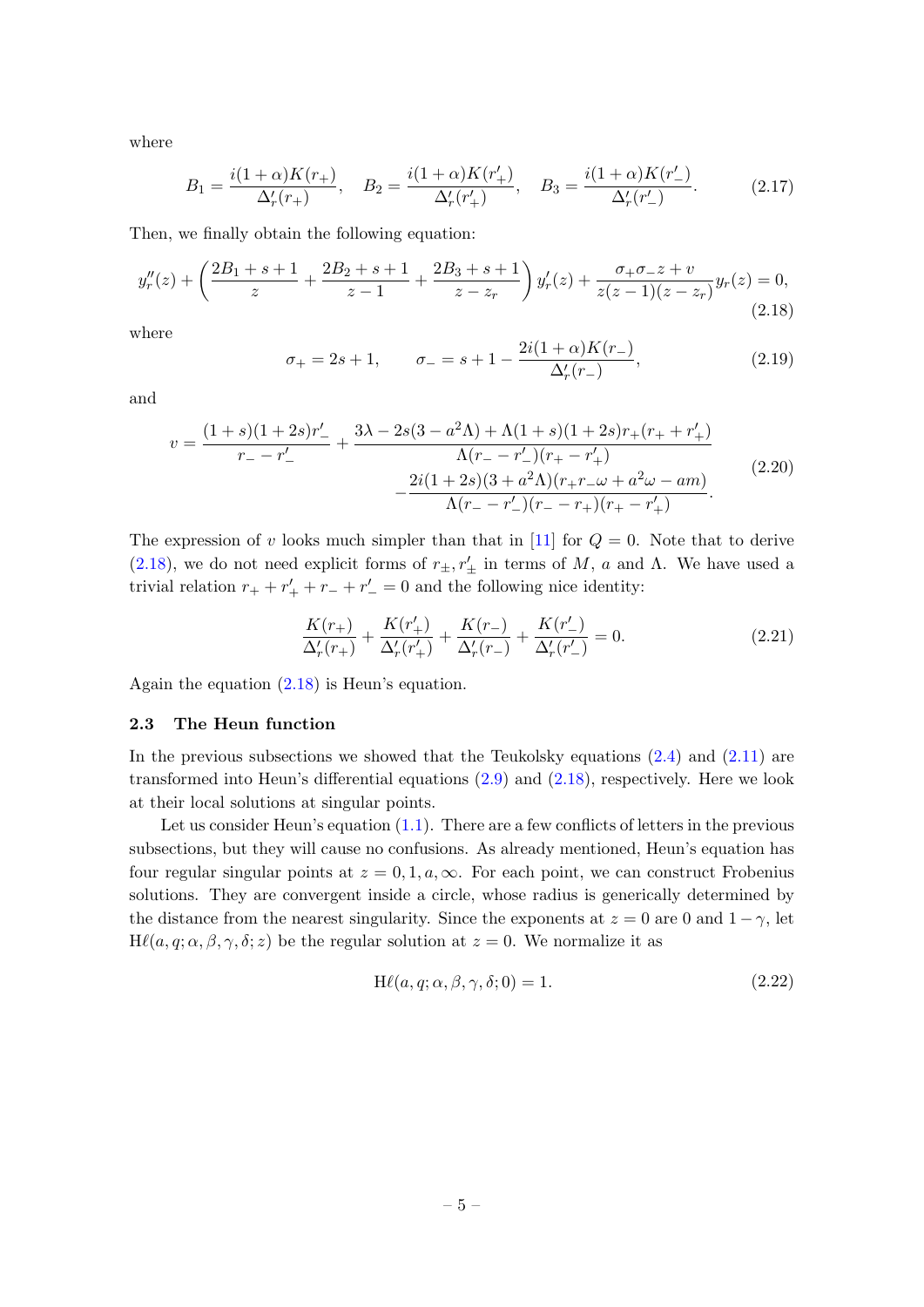where

<span id="page-5-3"></span>
$$
B_1 = \frac{i(1+\alpha)K(r_+)}{\Delta'_r(r_+)}, \quad B_2 = \frac{i(1+\alpha)K(r'_+)}{\Delta'_r(r'_+)}, \quad B_3 = \frac{i(1+\alpha)K(r'_-)}{\Delta'_r(r'_-)}.
$$
(2.17)

Then, we finally obtain the following equation:

<span id="page-5-1"></span>
$$
y_r''(z) + \left(\frac{2B_1 + s + 1}{z} + \frac{2B_2 + s + 1}{z - 1} + \frac{2B_3 + s + 1}{z - z_r}\right)y_r'(z) + \frac{\sigma_+ \sigma_- z + v}{z(z - 1)(z - z_r)}y_r(z) = 0,
$$
\n(2.18)

where

<span id="page-5-4"></span>
$$
\sigma_{+} = 2s + 1, \qquad \sigma_{-} = s + 1 - \frac{2i(1+\alpha)K(r_{-})}{\Delta'_{r}(r_{-})}, \tag{2.19}
$$

and

<span id="page-5-5"></span>
$$
v = \frac{(1+s)(1+2s)r'_-}{r_- - r'_-} + \frac{3\lambda - 2s(3-a^2\Lambda) + \Lambda(1+s)(1+2s)r_+(r_+ + r'_+)}{\Lambda(r_- - r'_-)(r_+ - r'_+)} -\frac{2i(1+2s)(3+a^2\Lambda)(r_+r_-\omega + a^2\omega - am)}{\Lambda(r_- - r'_-)(r_- - r_+)(r_+ - r'_+)}.
$$
\n(2.20)

The expression of v looks much simpler than that in [\[11\]](#page-11-6) for  $Q = 0$ . Note that to derive [\(2.18\)](#page-5-1), we do not need explicit forms of  $r_{\pm}$ ,  $r'_{\pm}$  in terms of M, a and  $\Lambda$ . We have used a trivial relation  $r_+ + r_+' + r_- + r_-' = 0$  and the following nice identity:

$$
\frac{K(r_{+})}{\Delta'_{r}(r_{+})} + \frac{K(r'_{+})}{\Delta'_{r}(r'_{+})} + \frac{K(r_{-})}{\Delta'_{r}(r_{-})} + \frac{K(r'_{-})}{\Delta'_{r}(r'_{-})} = 0.
$$
\n(2.21)

Again the equation [\(2.18\)](#page-5-1) is Heun's equation.

## <span id="page-5-0"></span>2.3 The Heun function

In the previous subsections we showed that the Teukolsky equations  $(2.4)$  and  $(2.11)$  are transformed into Heun's differential equations [\(2.9\)](#page-4-1) and [\(2.18\)](#page-5-1), respectively. Here we look at their local solutions at singular points.

Let us consider Heun's equation  $(1.1)$ . There are a few conflicts of letters in the previous subsections, but they will cause no confusions. As already mentioned, Heun's equation has four regular singular points at  $z = 0, 1, a, \infty$ . For each point, we can construct Frobenius solutions. They are convergent inside a circle, whose radius is generically determined by the distance from the nearest singularity. Since the exponents at  $z = 0$  are 0 and  $1 - \gamma$ , let  $H\ell(a, q; \alpha, \beta, \gamma, \delta; z)$  be the regular solution at  $z = 0$ . We normalize it as

<span id="page-5-2"></span>
$$
H\ell(a, q; \alpha, \beta, \gamma, \delta; 0) = 1.
$$
\n(2.22)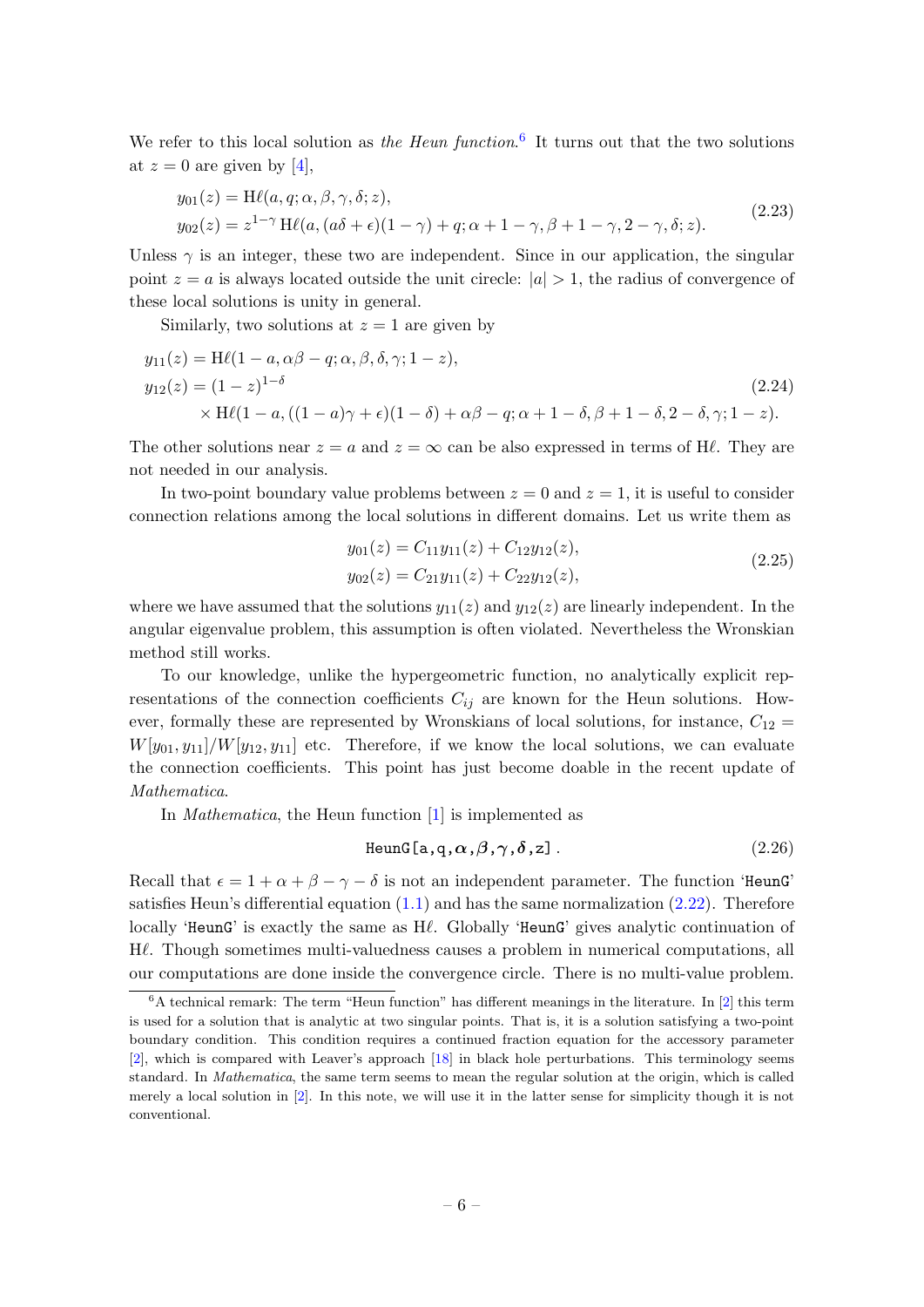We refer to this local solution as the Heun function.<sup>[6](#page-6-0)</sup> It turns out that the two solutions at  $z = 0$  are given by [\[4\]](#page-11-2),

<span id="page-6-1"></span>
$$
y_{01}(z) = \mathrm{H}\ell(a, q; \alpha, \beta, \gamma, \delta; z),
$$
  
\n
$$
y_{02}(z) = z^{1-\gamma} \mathrm{H}\ell(a, (a\delta + \epsilon)(1-\gamma) + q; \alpha + 1 - \gamma, \beta + 1 - \gamma, 2 - \gamma, \delta; z).
$$
\n(2.23)

Unless  $\gamma$  is an integer, these two are independent. Since in our application, the singular point  $z = a$  is always located outside the unit cirecle:  $|a| > 1$ , the radius of convergence of these local solutions is unity in general.

Similarly, two solutions at  $z = 1$  are given by

$$
y_{11}(z) = \text{H}\ell(1 - a, \alpha\beta - q; \alpha, \beta, \delta, \gamma; 1 - z),
$$
  
\n
$$
y_{12}(z) = (1 - z)^{1 - \delta}
$$
  
\n
$$
\times \text{H}\ell(1 - a, ((1 - a)\gamma + \epsilon)(1 - \delta) + \alpha\beta - q; \alpha + 1 - \delta, \beta + 1 - \delta, 2 - \delta, \gamma; 1 - z).
$$
\n(2.24)

The other solutions near  $z = a$  and  $z = \infty$  can be also expressed in terms of H $\ell$ . They are not needed in our analysis.

In two-point boundary value problems between  $z = 0$  and  $z = 1$ , it is useful to consider connection relations among the local solutions in different domains. Let us write them as

<span id="page-6-3"></span><span id="page-6-2"></span>
$$
y_{01}(z) = C_{11}y_{11}(z) + C_{12}y_{12}(z),
$$
  
\n
$$
y_{02}(z) = C_{21}y_{11}(z) + C_{22}y_{12}(z),
$$
\n(2.25)

where we have assumed that the solutions  $y_{11}(z)$  and  $y_{12}(z)$  are linearly independent. In the angular eigenvalue problem, this assumption is often violated. Nevertheless the Wronskian method still works.

To our knowledge, unlike the hypergeometric function, no analytically explicit representations of the connection coefficients  $C_{ij}$  are known for the Heun solutions. However, formally these are represented by Wronskians of local solutions, for instance,  $C_{12}$  =  $W[y_{01}, y_{11}]/W[y_{12}, y_{11}]$  etc. Therefore, if we know the local solutions, we can evaluate the connection coefficients. This point has just become doable in the recent update of Mathematica.

In *Mathematica*, the Heun function [\[1\]](#page-11-0) is implemented as

$$
\text{HeunG}\left[\mathbf{a}, \mathbf{q}, \alpha, \beta, \gamma, \delta, \mathbf{z}\right].\tag{2.26}
$$

Recall that  $\epsilon = 1 + \alpha + \beta - \gamma - \delta$  is not an independent parameter. The function 'HeunG' satisfies Heun's differential equation  $(1.1)$  and has the same normalization  $(2.22)$ . Therefore locally 'HeunG' is exactly the same as  $H\ell$ . Globally 'HeunG' gives analytic continuation of  $H\ell$ . Though sometimes multi-valuedness causes a problem in numerical computations, all our computations are done inside the convergence circle. There is no multi-value problem.

<span id="page-6-0"></span> $6A$  technical remark: The term "Heun function" has different meanings in the literature. In [\[2\]](#page-11-1) this term is used for a solution that is analytic at two singular points. That is, it is a solution satisfying a two-point boundary condition. This condition requires a continued fraction equation for the accessory parameter [\[2\]](#page-11-1), which is compared with Leaver's approach [\[18\]](#page-12-4) in black hole perturbations. This terminology seems standard. In Mathematica, the same term seems to mean the regular solution at the origin, which is called merely a local solution in [\[2\]](#page-11-1). In this note, we will use it in the latter sense for simplicity though it is not conventional.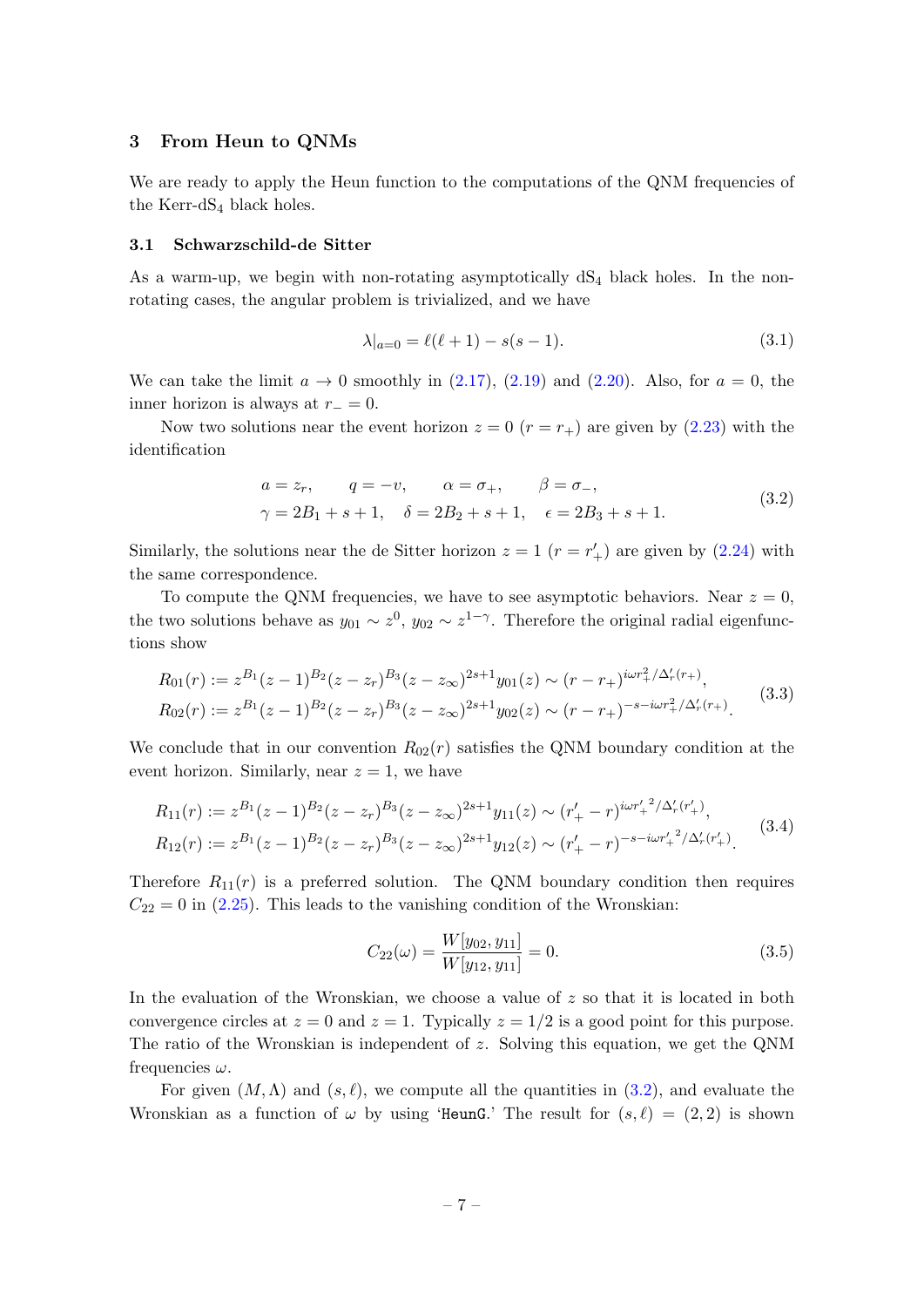#### <span id="page-7-0"></span>3 From Heun to QNMs

We are ready to apply the Heun function to the computations of the QNM frequencies of the Kerr-d $S_4$  black holes.

#### <span id="page-7-1"></span>3.1 Schwarzschild-de Sitter

As a warm-up, we begin with non-rotating asymptotically  $dS_4$  black holes. In the nonrotating cases, the angular problem is trivialized, and we have

$$
\lambda|_{a=0} = \ell(\ell+1) - s(s-1). \tag{3.1}
$$

We can take the limit  $a \to 0$  smoothly in [\(2.17\)](#page-5-3), [\(2.19\)](#page-5-4) and [\(2.20\)](#page-5-5). Also, for  $a = 0$ , the inner horizon is always at  $r_-=0$ .

Now two solutions near the event horizon  $z = 0$   $(r = r_+)$  are given by [\(2.23\)](#page-6-1) with the identification

<span id="page-7-2"></span>
$$
a = z_r
$$
,  $q = -v$ ,  $\alpha = \sigma_+$ ,  $\beta = \sigma_-$ ,  
\n $\gamma = 2B_1 + s + 1$ ,  $\delta = 2B_2 + s + 1$ ,  $\epsilon = 2B_3 + s + 1$ . (3.2)

Similarly, the solutions near the de Sitter horizon  $z = 1$   $(r = r'_{+})$  are given by [\(2.24\)](#page-6-2) with the same correspondence.

To compute the QNM frequencies, we have to see asymptotic behaviors. Near  $z = 0$ , the two solutions behave as  $y_{01} \sim z^0$ ,  $y_{02} \sim z^{1-\gamma}$ . Therefore the original radial eigenfunctions show

$$
R_{01}(r) := z^{B_1}(z-1)^{B_2}(z-z_r)^{B_3}(z-z_\infty)^{2s+1}y_{01}(z) \sim (r-r_+)^{i\omega r_+^2/\Delta'_r(r_+)},
$$
  
\n
$$
R_{02}(r) := z^{B_1}(z-1)^{B_2}(z-z_r)^{B_3}(z-z_\infty)^{2s+1}y_{02}(z) \sim (r-r_+)^{-s-i\omega r_+^2/\Delta'_r(r_+)}.
$$
\n(3.3)

We conclude that in our convention  $R_{02}(r)$  satisfies the QNM boundary condition at the event horizon. Similarly, near  $z = 1$ , we have

$$
R_{11}(r) := z^{B_1}(z-1)^{B_2}(z-z_r)^{B_3}(z-z_\infty)^{2s+1}y_{11}(z) \sim (r'_+ - r)^{i\omega r'_+{}^2/\Delta'_r(r'_+)},
$$
  
\n
$$
R_{12}(r) := z^{B_1}(z-1)^{B_2}(z-z_r)^{B_3}(z-z_\infty)^{2s+1}y_{12}(z) \sim (r'_+ - r)^{-s-i\omega r'_+{}^2/\Delta'_r(r'_+)}.
$$
\n(3.4)

Therefore  $R_{11}(r)$  is a preferred solution. The QNM boundary condition then requires  $C_{22} = 0$  in [\(2.25\)](#page-6-3). This leads to the vanishing condition of the Wronskian:

$$
C_{22}(\omega) = \frac{W[y_{02}, y_{11}]}{W[y_{12}, y_{11}]} = 0.
$$
\n(3.5)

In the evaluation of the Wronskian, we choose a value of  $z$  so that it is located in both convergence circles at  $z = 0$  and  $z = 1$ . Typically  $z = 1/2$  is a good point for this purpose. The ratio of the Wronskian is independent of z. Solving this equation, we get the QNM frequencies  $\omega$ .

For given  $(M, \Lambda)$  and  $(s, \ell)$ , we compute all the quantities in [\(3.2\)](#page-7-2), and evaluate the Wronskian as a function of  $\omega$  by using 'HeunG.' The result for  $(s, \ell) = (2, 2)$  is shown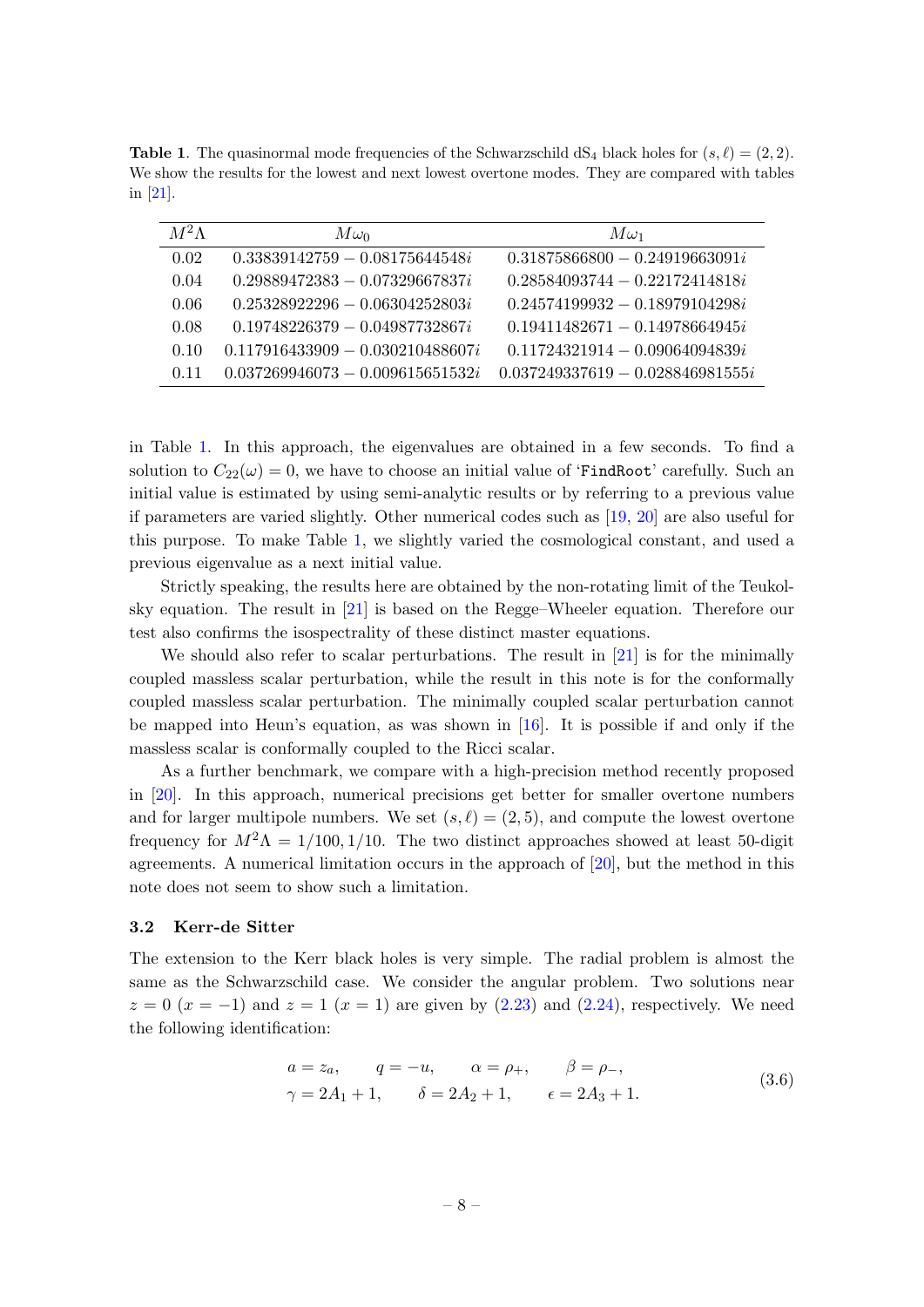<span id="page-8-1"></span>**Table 1.** The quasinormal mode frequencies of the Schwarzschild  $dS_4$  black holes for  $(s, \ell) = (2, 2)$ . We show the results for the lowest and next lowest overtone modes. They are compared with tables in [\[21\]](#page-12-5).

| $M^2\Lambda$ | $M\omega_0$                        | $M\omega_1$                        |
|--------------|------------------------------------|------------------------------------|
| 0.02         | $0.33839142759 - 0.08175644548i$   | $0.31875866800 - 0.24919663091i$   |
| 0.04         | $0.29889472383 - 0.07329667837i$   | $0.28584093744 - 0.22172414818i$   |
| 0.06         | $0.25328922296 - 0.06304252803i$   | $0.24574199932 - 0.18979104298i$   |
| 0.08         | $0.19748226379 - 0.04987732867i$   | $0.19411482671 - 0.14978664945i$   |
| 0.10         | $0.117916433909 - 0.030210488607i$ | $0.11724321914 - 0.09064094839i$   |
| 0.11         | $0.037269946073 - 0.009615651532i$ | $0.037249337619 - 0.028846981555i$ |

in Table [1.](#page-8-1) In this approach, the eigenvalues are obtained in a few seconds. To find a solution to  $C_{22}(\omega) = 0$ , we have to choose an initial value of 'FindRoot' carefully. Such an initial value is estimated by using semi-analytic results or by referring to a previous value if parameters are varied slightly. Other numerical codes such as [\[19,](#page-12-6) [20\]](#page-12-7) are also useful for this purpose. To make Table [1,](#page-8-1) we slightly varied the cosmological constant, and used a previous eigenvalue as a next initial value.

Strictly speaking, the results here are obtained by the non-rotating limit of the Teukolsky equation. The result in [\[21\]](#page-12-5) is based on the Regge–Wheeler equation. Therefore our test also confirms the isospectrality of these distinct master equations.

We should also refer to scalar perturbations. The result in [\[21\]](#page-12-5) is for the minimally coupled massless scalar perturbation, while the result in this note is for the conformally coupled massless scalar perturbation. The minimally coupled scalar perturbation cannot be mapped into Heun's equation, as was shown in [\[16\]](#page-12-2). It is possible if and only if the massless scalar is conformally coupled to the Ricci scalar.

As a further benchmark, we compare with a high-precision method recently proposed in [\[20\]](#page-12-7). In this approach, numerical precisions get better for smaller overtone numbers and for larger multipole numbers. We set  $(s, \ell) = (2, 5)$ , and compute the lowest overtone frequency for  $M^2\Lambda = 1/100, 1/10$ . The two distinct approaches showed at least 50-digit agreements. A numerical limitation occurs in the approach of [\[20\]](#page-12-7), but the method in this note does not seem to show such a limitation.

## <span id="page-8-0"></span>3.2 Kerr-de Sitter

The extension to the Kerr black holes is very simple. The radial problem is almost the same as the Schwarzschild case. We consider the angular problem. Two solutions near  $z = 0$  ( $x = -1$ ) and  $z = 1$  ( $x = 1$ ) are given by [\(2.23\)](#page-6-1) and [\(2.24\)](#page-6-2), respectively. We need the following identification:

$$
a = z_a
$$
,  $q = -u$ ,  $\alpha = \rho_+$ ,  $\beta = \rho_-\$ ,  
\n $\gamma = 2A_1 + 1$ ,  $\delta = 2A_2 + 1$ ,  $\epsilon = 2A_3 + 1$ . (3.6)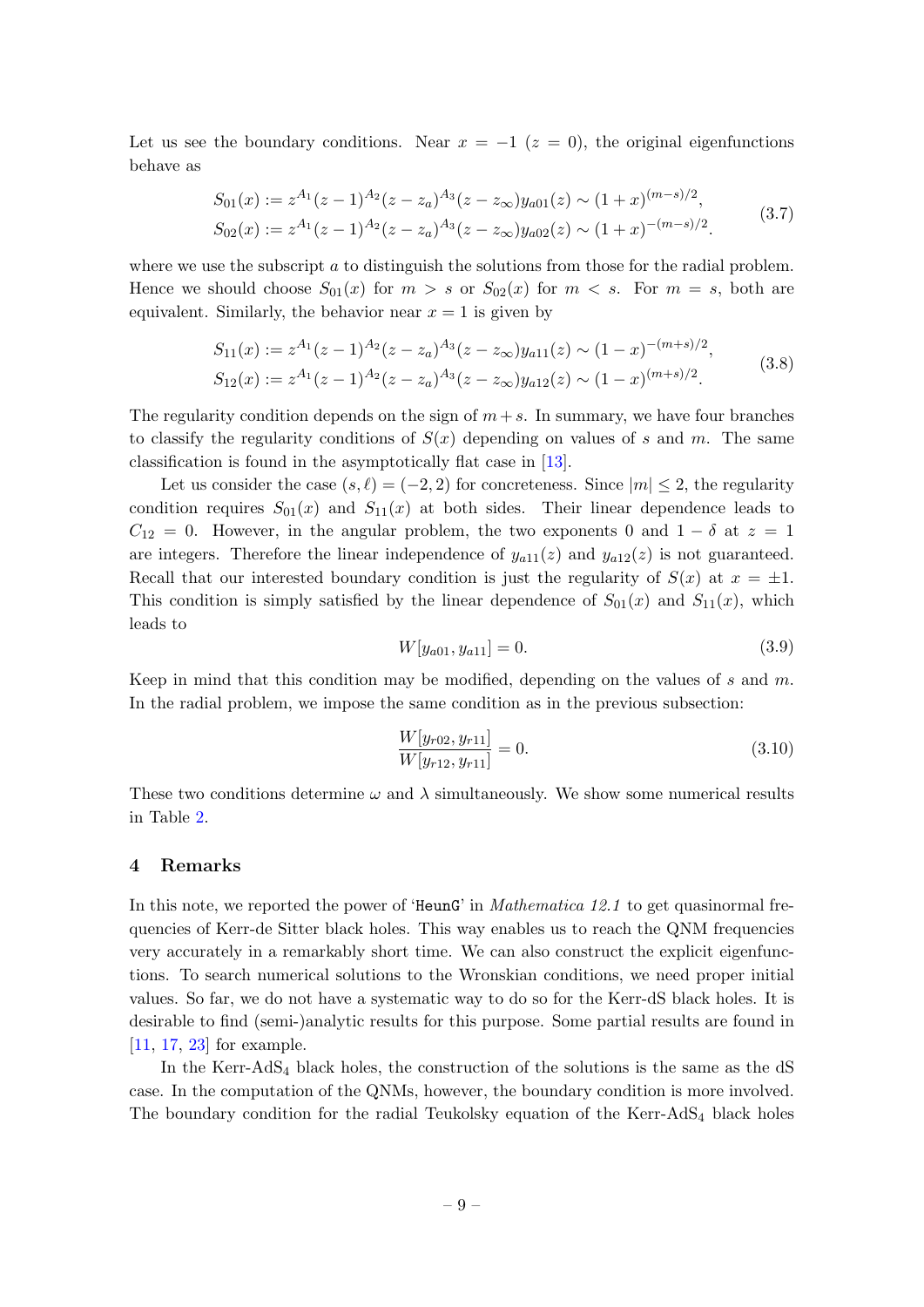Let us see the boundary conditions. Near  $x = -1$  ( $z = 0$ ), the original eigenfunctions behave as

$$
S_{01}(x) := z^{A_1}(z-1)^{A_2}(z-z_a)^{A_3}(z-z_\infty)y_{a01}(z) \sim (1+x)^{(m-s)/2},
$$
  
\n
$$
S_{02}(x) := z^{A_1}(z-1)^{A_2}(z-z_a)^{A_3}(z-z_\infty)y_{a02}(z) \sim (1+x)^{-(m-s)/2}.
$$
\n(3.7)

where we use the subscript  $a$  to distinguish the solutions from those for the radial problem. Hence we should choose  $S_{01}(x)$  for  $m > s$  or  $S_{02}(x)$  for  $m < s$ . For  $m = s$ , both are equivalent. Similarly, the behavior near  $x = 1$  is given by

$$
S_{11}(x) := z^{A_1}(z-1)^{A_2}(z-z_a)^{A_3}(z-z_\infty)y_{a11}(z) \sim (1-x)^{-(m+s)/2},
$$
  
\n
$$
S_{12}(x) := z^{A_1}(z-1)^{A_2}(z-z_a)^{A_3}(z-z_\infty)y_{a12}(z) \sim (1-x)^{(m+s)/2}.
$$
\n(3.8)

The regularity condition depends on the sign of  $m+s$ . In summary, we have four branches to classify the regularity conditions of  $S(x)$  depending on values of s and m. The same classification is found in the asymptotically flat case in [\[13\]](#page-11-10).

Let us consider the case  $(s, \ell) = (-2, 2)$  for concreteness. Since  $|m| \leq 2$ , the regularity condition requires  $S_{01}(x)$  and  $S_{11}(x)$  at both sides. Their linear dependence leads to  $C_{12} = 0$ . However, in the angular problem, the two exponents 0 and  $1 - \delta$  at  $z = 1$ are integers. Therefore the linear independence of  $y_{a11}(z)$  and  $y_{a12}(z)$  is not guaranteed. Recall that our interested boundary condition is just the regularity of  $S(x)$  at  $x = \pm 1$ . This condition is simply satisfied by the linear dependence of  $S_{01}(x)$  and  $S_{11}(x)$ , which leads to

$$
W[y_{a01}, y_{a11}] = 0. \t\t(3.9)
$$

Keep in mind that this condition may be modified, depending on the values of s and m. In the radial problem, we impose the same condition as in the previous subsection:

$$
\frac{W[y_{r02}, y_{r11}]}{W[y_{r12}, y_{r11}]} = 0.
$$
\n(3.10)

These two conditions determine  $\omega$  and  $\lambda$  simultaneously. We show some numerical results in Table [2.](#page-10-0)

#### <span id="page-9-0"></span>4 Remarks

In this note, we reported the power of 'HeunG' in *Mathematica 12.1* to get quasinormal frequencies of Kerr-de Sitter black holes. This way enables us to reach the QNM frequencies very accurately in a remarkably short time. We can also construct the explicit eigenfunctions. To search numerical solutions to the Wronskian conditions, we need proper initial values. So far, we do not have a systematic way to do so for the Kerr-dS black holes. It is desirable to find (semi-)analytic results for this purpose. Some partial results are found in [\[11,](#page-11-6) [17,](#page-12-3) [23\]](#page-12-8) for example.

In the Kerr-AdS<sub>4</sub> black holes, the construction of the solutions is the same as the dS case. In the computation of the QNMs, however, the boundary condition is more involved. The boundary condition for the radial Teukolsky equation of the Kerr-AdS<sub>4</sub> black holes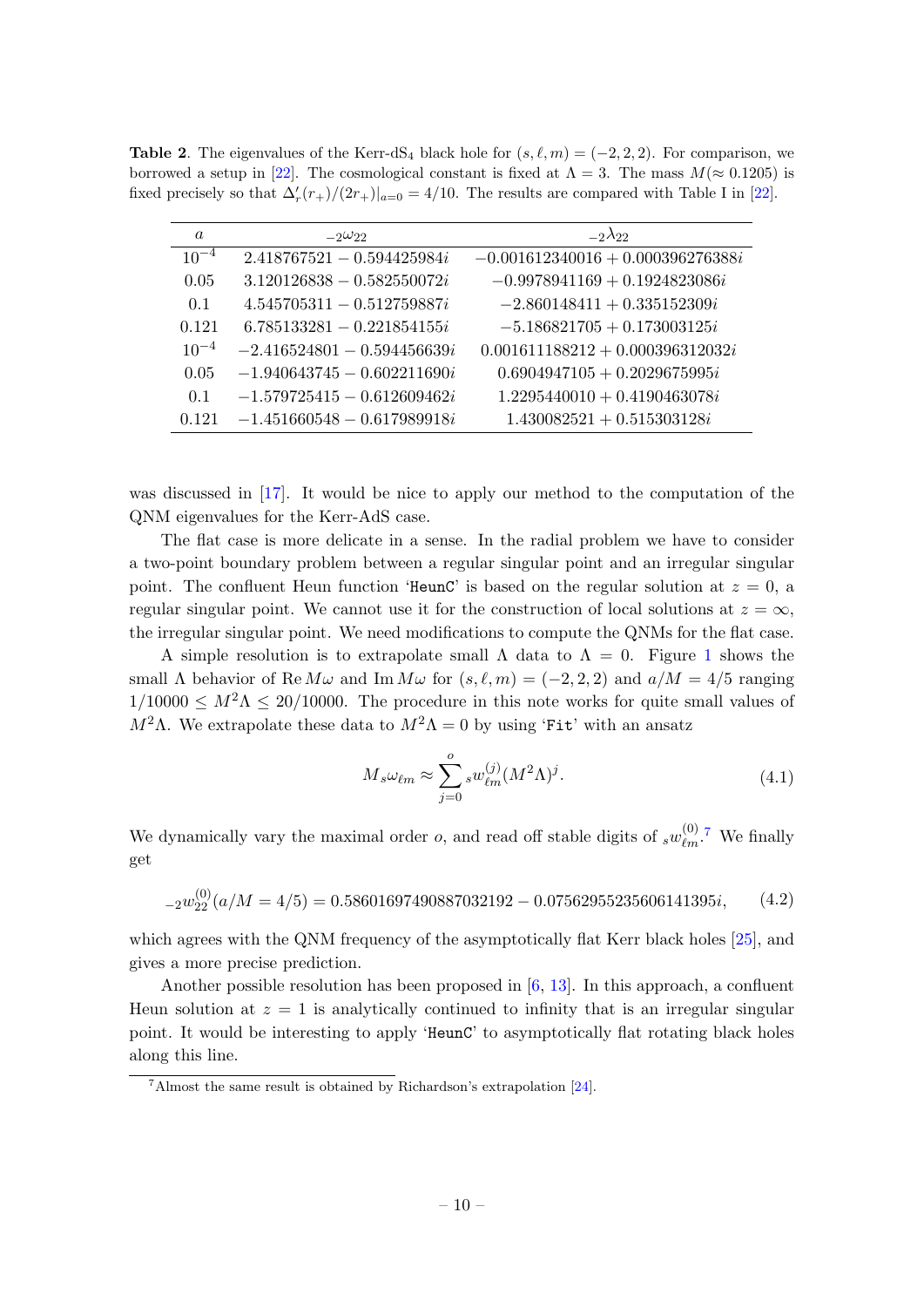<span id="page-10-0"></span>**Table 2.** The eigenvalues of the Kerr-dS<sub>4</sub> black hole for  $(s, \ell, m) = (-2, 2, 2)$ . For comparison, we borrowed a setup in [\[22\]](#page-12-9). The cosmological constant is fixed at  $\Lambda = 3$ . The mass  $M (\approx 0.1205)$  is fixed precisely so that  $\Delta'_r(r_+)/(2r_+)|_{a=0} = 4/10$ . The results are compared with Table I in [\[22\]](#page-12-9).

| $\boldsymbol{a}$ | $-2\omega_{22}$               | $-2\lambda$ 22                      |
|------------------|-------------------------------|-------------------------------------|
| $10^{-4}$        | $2.418767521 - 0.594425984i$  | $-0.001612340016 + 0.000396276388i$ |
| 0.05             | $3.120126838 - 0.582550072i$  | $-0.9978941169 + 0.1924823086i$     |
| 0.1              | $4.545705311 - 0.512759887i$  | $-2.860148411 + 0.335152309i$       |
| 0.121            | $6.785133281 - 0.221854155i$  | $-5.186821705 + 0.173003125i$       |
| $10^{-4}$        | $-2.416524801 - 0.594456639i$ | $0.001611188212 + 0.000396312032i$  |
| 0.05             | $-1.940643745 - 0.602211690i$ | $0.6904947105 + 0.2029675995i$      |
| 0.1              | $-1.579725415 - 0.612609462i$ | $1.2295440010 + 0.4190463078i$      |
| 0.121            | $-1.451660548 - 0.617989918i$ | $1.430082521 + 0.515303128i$        |

was discussed in [\[17\]](#page-12-3). It would be nice to apply our method to the computation of the QNM eigenvalues for the Kerr-AdS case.

The flat case is more delicate in a sense. In the radial problem we have to consider a two-point boundary problem between a regular singular point and an irregular singular point. The confluent Heun function 'HeunC' is based on the regular solution at  $z = 0$ , a regular singular point. We cannot use it for the construction of local solutions at  $z = \infty$ , the irregular singular point. We need modifications to compute the QNMs for the flat case.

A simple resolution is to extrapolate small  $\Lambda$  data to  $\Lambda = 0$ . Figure [1](#page-11-12) shows the small  $\Lambda$  behavior of Re  $M\omega$  and Im  $M\omega$  for  $(s, \ell, m) = (-2, 2, 2)$  and  $a/M = 4/5$  ranging  $1/10000 \leq M^2 \Lambda \leq 20/10000$ . The procedure in this note works for quite small values of  $M<sup>2</sup>Λ$ . We extrapolate these data to  $M<sup>2</sup>Λ = 0$  by using 'Fit' with an ansatz

$$
M_s \omega_{\ell m} \approx \sum_{j=0}^{o} s w_{\ell m}^{(j)} (M^2 \Lambda)^j.
$$
 (4.1)

We dynamically vary the maximal order *o*, and read off stable digits of  $\frac{1}{s}w_{\ell m}^{(0)}$ .<sup>[7](#page-10-1)</sup> We finally get

$$
{}_{-2}w_{22}^{(0)}(a/M=4/5) = 0.58601697490887032192 - 0.07562955235606141395i, \qquad (4.2)
$$

which agrees with the QNM frequency of the asymptotically flat Kerr black holes [\[25\]](#page-12-10), and gives a more precise prediction.

Another possible resolution has been proposed in  $[6, 13]$  $[6, 13]$  $[6, 13]$ . In this approach, a confluent Heun solution at  $z = 1$  is analytically continued to infinity that is an irregular singular point. It would be interesting to apply 'HeunC' to asymptotically flat rotating black holes along this line.

<span id="page-10-1"></span><sup>7</sup>Almost the same result is obtained by Richardson's extrapolation [\[24\]](#page-12-11).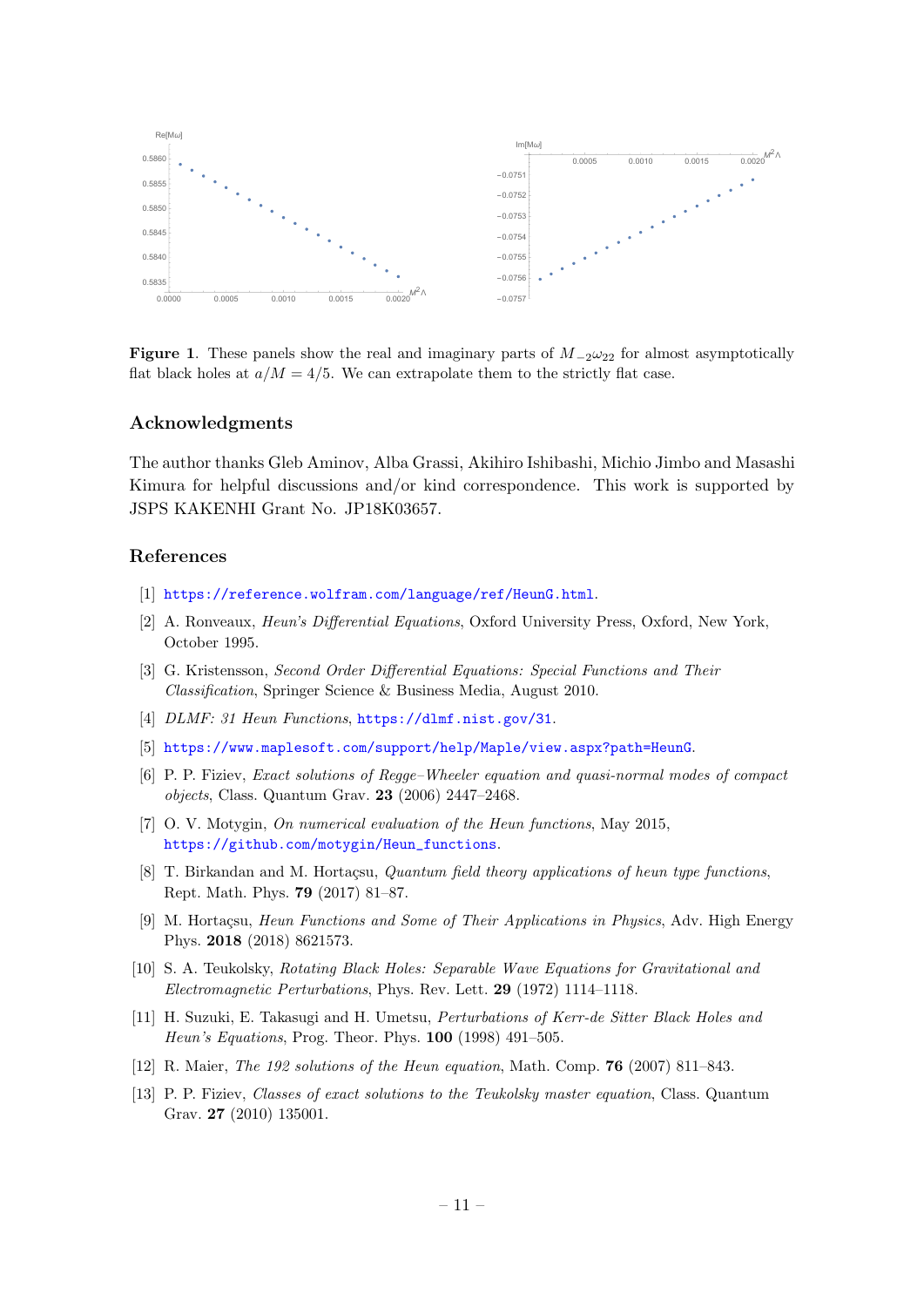

<span id="page-11-12"></span>Figure 1. These panels show the real and imaginary parts of  $M_{-2}\omega_{22}$  for almost asymptotically flat black holes at  $a/M = 4/5$ . We can extrapolate them to the strictly flat case.

#### Acknowledgments

The author thanks Gleb Aminov, Alba Grassi, Akihiro Ishibashi, Michio Jimbo and Masashi Kimura for helpful discussions and/or kind correspondence. This work is supported by JSPS KAKENHI Grant No. JP18K03657.

#### References

- <span id="page-11-0"></span>[1] <https://reference.wolfram.com/language/ref/HeunG.html>.
- <span id="page-11-1"></span>[2] A. Ronveaux, Heun's Differential Equations, Oxford University Press, Oxford, New York, October 1995.
- [3] G. Kristensson, Second Order Differential Equations: Special Functions and Their Classification, Springer Science & Business Media, August 2010.
- <span id="page-11-2"></span>[4] DLMF: 31 Heun Functions, <https://dlmf.nist.gov/31>.
- <span id="page-11-7"></span>[5] <https://www.maplesoft.com/support/help/Maple/view.aspx?path=HeunG>.
- <span id="page-11-8"></span>[6] P. P. Fiziev, Exact solutions of Regge–Wheeler equation and quasi-normal modes of compact objects, Class. Quantum Grav. 23 (2006) 2447–2468.
- <span id="page-11-9"></span>[7] O. V. Motygin, *On numerical evaluation of the Heun functions*, May 2015, [https://github.com/motygin/Heun\\_functions](https://github.com/motygin/Heun_functions).
- <span id="page-11-3"></span>[8] T. Birkandan and M. Hortaçsu, *Quantum field theory applications of heun type functions*, Rept. Math. Phys. 79 (2017) 81–87.
- <span id="page-11-4"></span>[9] M. Hortaçsu, Heun Functions and Some of Their Applications in Physics, Adv. High Energy Phys. 2018 (2018) 8621573.
- <span id="page-11-5"></span>[10] S. A. Teukolsky, Rotating Black Holes: Separable Wave Equations for Gravitational and Electromagnetic Perturbations, Phys. Rev. Lett. 29 (1972) 1114–1118.
- <span id="page-11-6"></span>[11] H. Suzuki, E. Takasugi and H. Umetsu, Perturbations of Kerr-de Sitter Black Holes and Heun's Equations, Prog. Theor. Phys. 100 (1998) 491–505.
- <span id="page-11-11"></span>[12] R. Maier, The 192 solutions of the Heun equation, Math. Comp. 76 (2007) 811–843.
- <span id="page-11-10"></span>[13] P. P. Fiziev, Classes of exact solutions to the Teukolsky master equation, Class. Quantum Grav. 27 (2010) 135001.